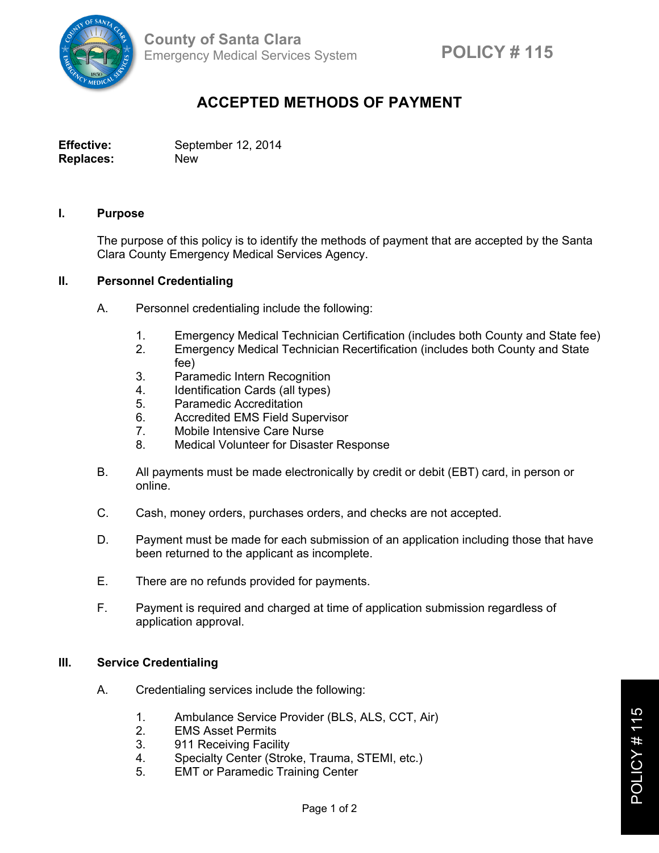

# **ACCEPTED METHODS OF PAYMENT**

**Effective:** September 12, 2014 **Replaces:** New

### **I. Purpose**

The purpose of this policy is to identify the methods of payment that are accepted by the Santa Clara County Emergency Medical Services Agency.

### **II. Personnel Credentialing**

- A. Personnel credentialing include the following:
	- 1. Emergency Medical Technician Certification (includes both County and State fee)
	- 2. Emergency Medical Technician Recertification (includes both County and State fee)
	- 3. Paramedic Intern Recognition
	- 4. Identification Cards (all types)
	- 5. Paramedic Accreditation
	- 6. Accredited EMS Field Supervisor
	- 7. Mobile Intensive Care Nurse
	- 8. Medical Volunteer for Disaster Response
- B. All payments must be made electronically by credit or debit (EBT) card, in person or online.
- C. Cash, money orders, purchases orders, and checks are not accepted.
- D. Payment must be made for each submission of an application including those that have been returned to the applicant as incomplete.
- E. There are no refunds provided for payments.
- F. Payment is required and charged at time of application submission regardless of application approval.

## **III. Service Credentialing**

- A. Credentialing services include the following:
	- 1. Ambulance Service Provider (BLS, ALS, CCT, Air)
	- 2. EMS Asset Permits
	- 3. 911 Receiving Facility
	- 4. Specialty Center (Stroke, Trauma, STEMI, etc.)
	- 5. EMT or Paramedic Training Center